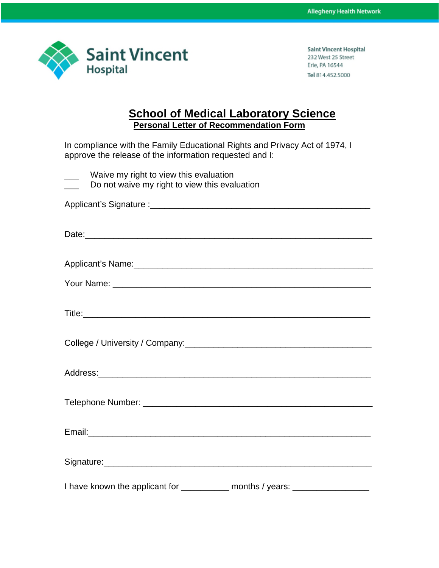

## **School of Medical Laboratory Science Personal Letter of Recommendation Form**

In compliance with the Family Educational Rights and Privacy Act of 1974, I approve the release of the information requested and I:

|  |  |  | Waive my right to view this evaluation |  |
|--|--|--|----------------------------------------|--|
|  |  |  |                                        |  |

\_\_\_ Do not waive my right to view this evaluation

Applicant's Signature :\_\_\_\_\_\_\_\_\_\_\_\_\_\_\_\_\_\_\_\_\_\_\_\_\_\_\_\_\_\_\_\_\_\_\_\_\_\_\_\_\_\_\_\_\_\_

| Date: |
|-------|
|-------|

| Your Name: |
|------------|
|------------|

| . |  |  |  |
|---|--|--|--|
|   |  |  |  |

| College / University / Company: |  |
|---------------------------------|--|
|                                 |  |

| $\Gamma$ and $\sim$ 11.<br>_<br>------- |  |  |  |
|-----------------------------------------|--|--|--|
|                                         |  |  |  |

I have known the applicant for \_\_\_\_\_\_\_\_\_\_ months / years: \_\_\_\_\_\_\_\_\_\_\_\_\_\_\_\_\_\_\_\_\_\_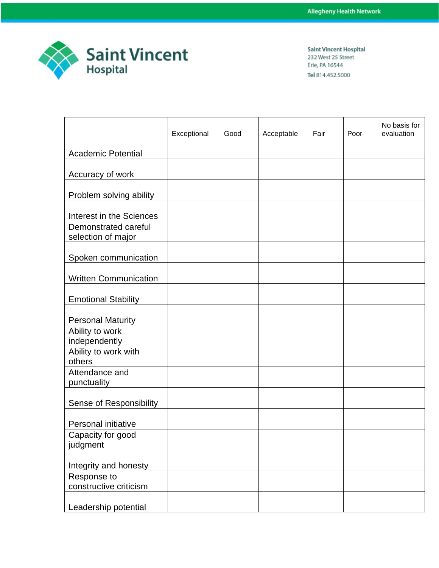

|                                            | Exceptional | Good | Acceptable | Fair | Poor | No basis for<br>evaluation |
|--------------------------------------------|-------------|------|------------|------|------|----------------------------|
|                                            |             |      |            |      |      |                            |
| <b>Academic Potential</b>                  |             |      |            |      |      |                            |
| Accuracy of work                           |             |      |            |      |      |                            |
| Problem solving ability                    |             |      |            |      |      |                            |
| Interest in the Sciences                   |             |      |            |      |      |                            |
| Demonstrated careful<br>selection of major |             |      |            |      |      |                            |
| Spoken communication                       |             |      |            |      |      |                            |
| <b>Written Communication</b>               |             |      |            |      |      |                            |
| <b>Emotional Stability</b>                 |             |      |            |      |      |                            |
| <b>Personal Maturity</b>                   |             |      |            |      |      |                            |
| Ability to work<br>independently           |             |      |            |      |      |                            |
| Ability to work with<br>others             |             |      |            |      |      |                            |
| Attendance and<br>punctuality              |             |      |            |      |      |                            |
| Sense of Responsibility                    |             |      |            |      |      |                            |
| Personal initiative                        |             |      |            |      |      |                            |
| Capacity for good<br>judgment              |             |      |            |      |      |                            |
| Integrity and honesty                      |             |      |            |      |      |                            |
| Response to<br>constructive criticism      |             |      |            |      |      |                            |
| Leadership potential                       |             |      |            |      |      |                            |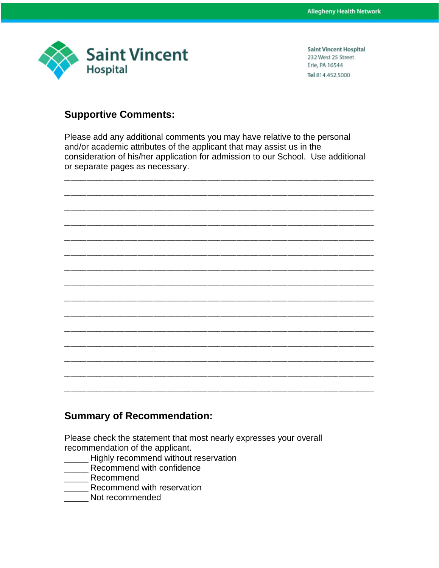

## **Supportive Comments:**

Please add any additional comments you may have relative to the personal and/or academic attributes of the applicant that may assist us in the consideration of his/her application for admission to our School. Use additional or separate pages as necessary.



## **Summary of Recommendation:**

Please check the statement that most nearly expresses your overall recommendation of the applicant.

- Highly recommend without reservation
- Recommend with confidence
- Recommend
- Recommend with reservation
- Not recommended